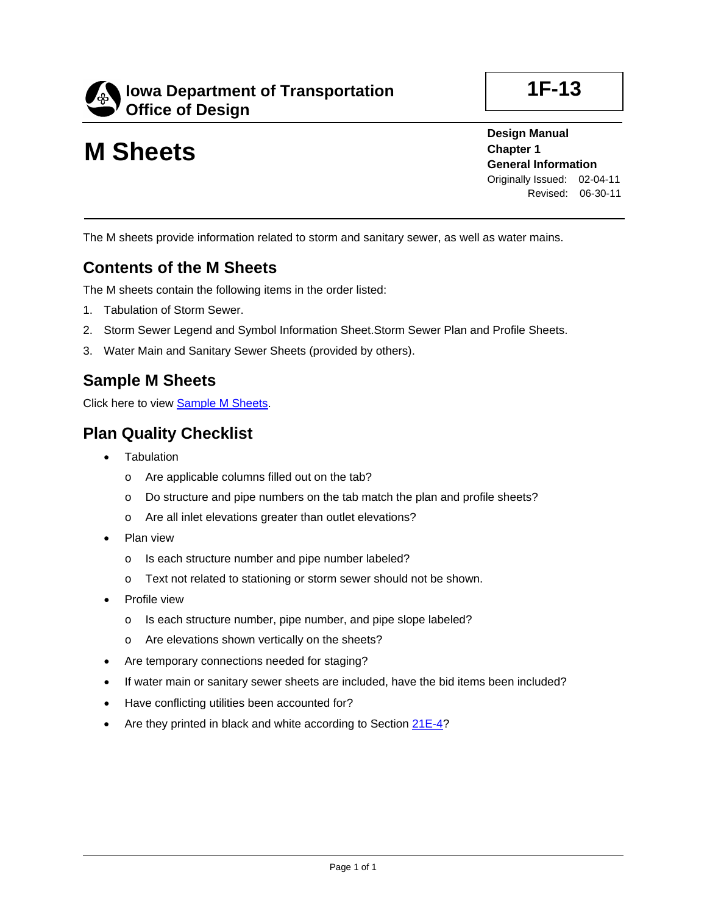

# **M Sheets**

**Design Manual Chapter 1 General Information** Originally Issued: 02-04-11 Revised: 06-30-11

**1F-13**

The M sheets provide information related to storm and sanitary sewer, as well as water mains.

#### **Contents of the M Sheets**

The M sheets contain the following items in the order listed:

- 1. Tabulation of Storm Sewer.
- 2. Storm Sewer Legend and Symbol Information Sheet.Storm Sewer Plan and Profile Sheets.
- 3. Water Main and Sanitary Sewer Sheets (provided by others).

#### **Sample M Sheets**

Click here to view Sample M Sheets.

#### **Plan Quality Checklist**

- **Tabulation** 
	- o Are applicable columns filled out on the tab?
	- o Do structure and pipe numbers on the tab match the plan and profile sheets?
	- o Are all inlet elevations greater than outlet elevations?
- Plan view
	- o Is each structure number and pipe number labeled?
	- o Text not related to stationing or storm sewer should not be shown.
- Profile view
	- o Is each structure number, pipe number, and pipe slope labeled?
	- o Are elevations shown vertically on the sheets?
- Are temporary connections needed for staging?
- If water main or sanitary sewer sheets are included, have the bid items been included?
- Have conflicting utilities been accounted for?
- Are they printed in black and white according to Section 21E-4?